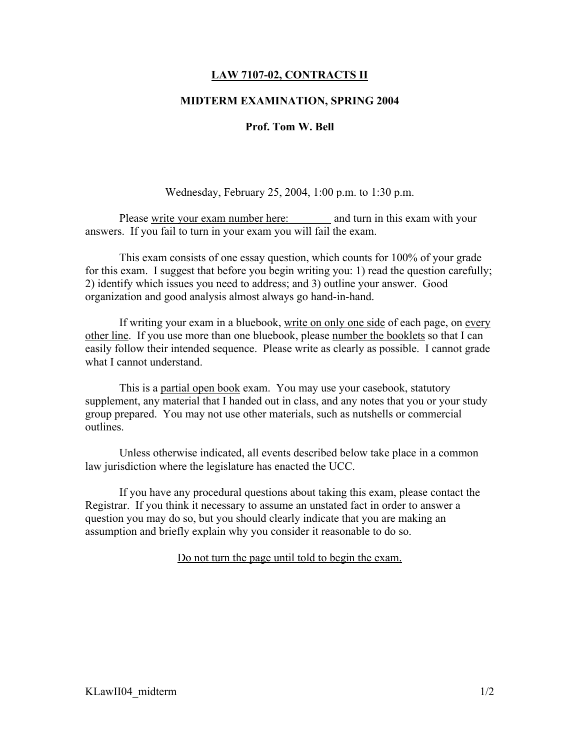# LAW 7107-02, CONTRACTS II

### MIDTERM EXAMINATION, SPRING 2004

## Prof. Tom W. Bell

### Wednesday, February 25, 2004, 1:00 p.m. to 1:30 p.m.

Please write your exam number here: and turn in this exam with your answers. If you fail to turn in your exam you will fail the exam.

This exam consists of one essay question, which counts for 100% of your grade for this exam. I suggest that before you begin writing you: 1) read the question carefully; 2) identify which issues you need to address; and 3) outline your answer. Good organization and good analysis almost always go hand-in-hand.

If writing your exam in a bluebook, write on only one side of each page, on every other line. If you use more than one bluebook, please number the booklets so that I can easily follow their intended sequence. Please write as clearly as possible. I cannot grade what I cannot understand.

This is a partial open book exam. You may use your casebook, statutory supplement, any material that I handed out in class, and any notes that you or your study group prepared. You may not use other materials, such as nutshells or commercial outlines.

Unless otherwise indicated, all events described below take place in a common law jurisdiction where the legislature has enacted the UCC.

If you have any procedural questions about taking this exam, please contact the Registrar. If you think it necessary to assume an unstated fact in order to answer a question you may do so, but you should clearly indicate that you are making an assumption and briefly explain why you consider it reasonable to do so.

Do not turn the page until told to begin the exam.